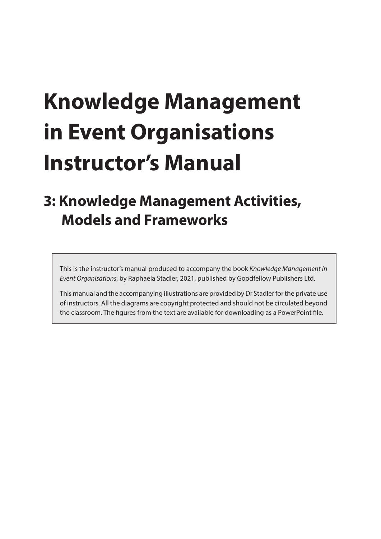# **Knowledge Management in Event Organisations Instructor's Manual**

## **3: Knowledge Management Activities, Models and Frameworks**

This is the instructor's manual produced to accompany the book *Knowledge Management in Event Organisations*, by Raphaela Stadler, 2021, published by Goodfellow Publishers Ltd.

This manual and the accompanying illustrations are provided by Dr Stadler for the private use of instructors. All the diagrams are copyright protected and should not be circulated beyond the classroom. The figures from the text are available for downloading as a PowerPoint file.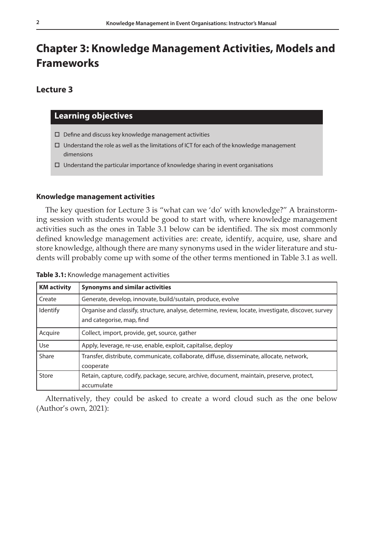### **Chapter 3: Knowledge Management Activities, Models and Frameworks**

#### **Lecture 3**

#### **Learning objectives**

- $\square$  Define and discuss key knowledge management activities
- $\Box$  Understand the role as well as the limitations of ICT for each of the knowledge management dimensions
- $\Box$  Understand the particular importance of knowledge sharing in event organisations

#### **Knowledge management activities**

The key question for Lecture 3 is "what can we 'do' with knowledge?" A brainstorming session with students would be good to start with, where knowledge management activities such as the ones in Table 3.1 below can be identified. The six most commonly defined knowledge management activities are: create, identify, acquire, use, share and store knowledge, although there are many synonyms used in the wider literature and students will probably come up with some of the other terms mentioned in Table 3.1 as well.

| <b>KM</b> activity | <b>Synonyms and similar activities</b>                                                                                           |  |  |  |
|--------------------|----------------------------------------------------------------------------------------------------------------------------------|--|--|--|
| Create             | Generate, develop, innovate, build/sustain, produce, evolve                                                                      |  |  |  |
| Identify           | Organise and classify, structure, analyse, determine, review, locate, investigate, discover, survey<br>and categorise, map, find |  |  |  |
| Acquire            | Collect, import, provide, get, source, gather                                                                                    |  |  |  |
| Use                | Apply, leverage, re-use, enable, exploit, capitalise, deploy                                                                     |  |  |  |
| Share              | Transfer, distribute, communicate, collaborate, diffuse, disseminate, allocate, network,<br>cooperate                            |  |  |  |
| Store              | Retain, capture, codify, package, secure, archive, document, maintain, preserve, protect,<br>accumulate                          |  |  |  |

**Table 3.1:** Knowledge management activities

Alternatively, they could be asked to create a word cloud such as the one below (Author's own, 2021):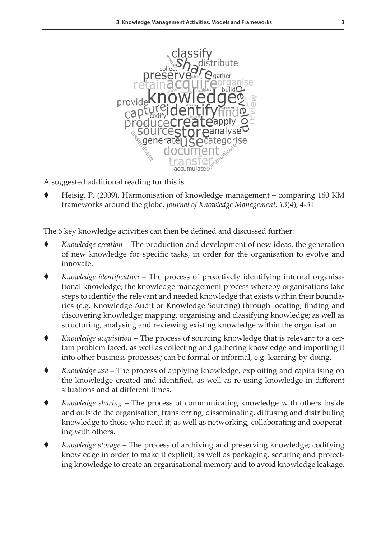

A suggested additional reading for this is:

 Heisig, P. (2009). Harmonisation of knowledge management – comparing 160 KM frameworks around the globe. *Journal of Knowledge Management, 13*(4), 4-31

The 6 key knowledge activities can then be defined and discussed further:

- *Knowledge creation* The production and development of new ideas, the generation of new knowledge for specific tasks, in order for the organisation to evolve and innovate.
- *Knowledge identification* The process of proactively identifying internal organisational knowledge; the knowledge management process whereby organisations take steps to identify the relevant and needed knowledge that exists within their boundaries (e.g. Knowledge Audit or Knowledge Sourcing) through locating, finding and discovering knowledge; mapping, organising and classifying knowledge; as well as structuring, analysing and reviewing existing knowledge within the organisation.
- *Knowledge acquisition* The process of sourcing knowledge that is relevant to a certain problem faced, as well as collecting and gathering knowledge and importing it into other business processes; can be formal or informal, e.g. learning-by-doing.
- *Knowledge use* The process of applying knowledge, exploiting and capitalising on the knowledge created and identified, as well as re-using knowledge in different situations and at different times.
- *Knowledge sharing* The process of communicating knowledge with others inside and outside the organisation; transferring, disseminating, diffusing and distributing knowledge to those who need it; as well as networking, collaborating and cooperating with others.
- *Knowledge storage* The process of archiving and preserving knowledge; codifying knowledge in order to make it explicit; as well as packaging, securing and protecting knowledge to create an organisational memory and to avoid knowledge leakage.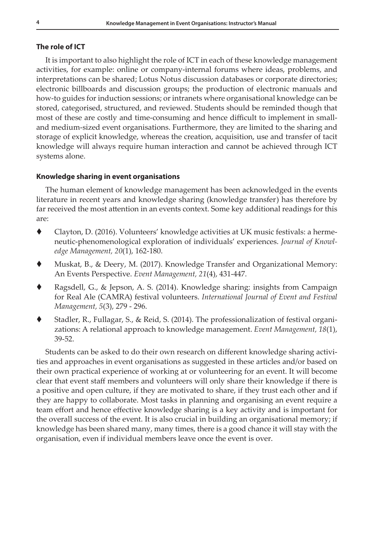#### **The role of ICT**

It is important to also highlight the role of ICT in each of these knowledge management activities, for example: online or company-internal forums where ideas, problems, and interpretations can be shared; Lotus Notus discussion databases or corporate directories; electronic billboards and discussion groups; the production of electronic manuals and how-to guides for induction sessions; or intranets where organisational knowledge can be stored, categorised, structured, and reviewed. Students should be reminded though that most of these are costly and time-consuming and hence difficult to implement in smalland medium-sized event organisations. Furthermore, they are limited to the sharing and storage of explicit knowledge, whereas the creation, acquisition, use and transfer of tacit knowledge will always require human interaction and cannot be achieved through ICT systems alone.

#### **Knowledge sharing in event organisations**

The human element of knowledge management has been acknowledged in the events literature in recent years and knowledge sharing (knowledge transfer) has therefore by far received the most attention in an events context. Some key additional readings for this are:

- Clayton, D. (2016). Volunteers' knowledge activities at UK music festivals: a hermeneutic-phenomenological exploration of individuals' experiences. *Journal of Knowledge Management, 20*(1), 162-180.
- Muskat, B., & Deery, M. (2017). Knowledge Transfer and Organizational Memory: An Events Perspective. *Event Management, 21*(4), 431-447.
- Ragsdell, G., & Jepson, A. S. (2014). Knowledge sharing: insights from Campaign for Real Ale (CAMRA) festival volunteers. *International Journal of Event and Festival Management, 5*(3), 279 - 296.
- Stadler, R., Fullagar, S., & Reid, S. (2014). The professionalization of festival organizations: A relational approach to knowledge management. *Event Management, 18*(1), 39-52.

Students can be asked to do their own research on different knowledge sharing activities and approaches in event organisations as suggested in these articles and/or based on their own practical experience of working at or volunteering for an event. It will become clear that event staff members and volunteers will only share their knowledge if there is a positive and open culture, if they are motivated to share, if they trust each other and if they are happy to collaborate. Most tasks in planning and organising an event require a team effort and hence effective knowledge sharing is a key activity and is important for the overall success of the event. It is also crucial in building an organisational memory; if knowledge has been shared many, many times, there is a good chance it will stay with the organisation, even if individual members leave once the event is over.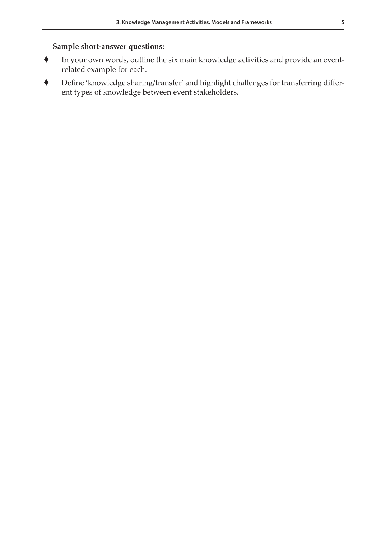#### **Sample short-answer questions:**

- In your own words, outline the six main knowledge activities and provide an eventrelated example for each.
- Define 'knowledge sharing/transfer' and highlight challenges for transferring different types of knowledge between event stakeholders.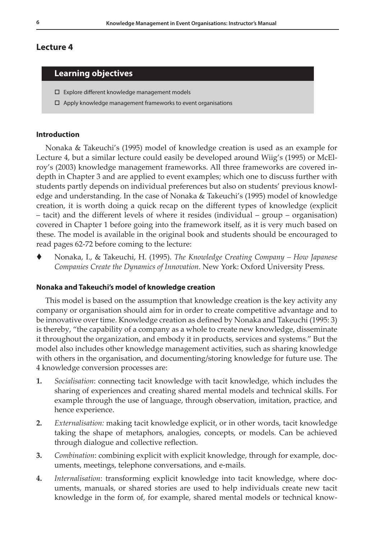#### **Lecture 4**

#### **Learning objectives**

- Explore different knowledge management models
- $\Box$  Apply knowledge management frameworks to event organisations

#### **Introduction**

Nonaka & Takeuchi's (1995) model of knowledge creation is used as an example for Lecture 4, but a similar lecture could easily be developed around Wiig's (1995) or McElroy's (2003) knowledge management frameworks. All three frameworks are covered indepth in Chapter 3 and are applied to event examples; which one to discuss further with students partly depends on individual preferences but also on students' previous knowledge and understanding. In the case of Nonaka & Takeuchi's (1995) model of knowledge creation, it is worth doing a quick recap on the different types of knowledge (explicit – tacit) and the different levels of where it resides (individual – group – organisation) covered in Chapter 1 before going into the framework itself, as it is very much based on these. The model is available in the original book and students should be encouraged to read pages 62-72 before coming to the lecture:

 Nonaka, I., & Takeuchi, H. (1995). *The Knowledge Creating Company – How Japanese Companies Create the Dynamics of Innovation*. New York: Oxford University Press.

#### **Nonaka and Takeuchi's model of knowledge creation**

This model is based on the assumption that knowledge creation is the key activity any company or organisation should aim for in order to create competitive advantage and to be innovative over time. Knowledge creation as defined by Nonaka and Takeuchi (1995: 3) is thereby, "the capability of a company as a whole to create new knowledge, disseminate it throughout the organization, and embody it in products, services and systems." But the model also includes other knowledge management activities, such as sharing knowledge with others in the organisation, and documenting/storing knowledge for future use. The 4 knowledge conversion processes are:

- **1.** *Socialisation*: connecting tacit knowledge with tacit knowledge, which includes the sharing of experiences and creating shared mental models and technical skills. For example through the use of language, through observation, imitation, practice, and hence experience.
- **2.** *Externalisation:* making tacit knowledge explicit, or in other words, tacit knowledge taking the shape of metaphors, analogies, concepts, or models. Can be achieved through dialogue and collective reflection.
- **3.** *Combination*: combining explicit with explicit knowledge, through for example, documents, meetings, telephone conversations, and e-mails.
- **4.** *Internalisation*: transforming explicit knowledge into tacit knowledge, where documents, manuals, or shared stories are used to help individuals create new tacit knowledge in the form of, for example, shared mental models or technical know-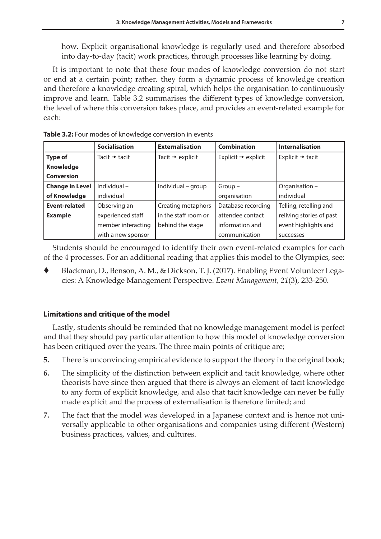how. Explicit organisational knowledge is regularly used and therefore absorbed into day-to-day (tacit) work practices, through processes like learning by doing.

It is important to note that these four modes of knowledge conversion do not start or end at a certain point; rather, they form a dynamic process of knowledge creation and therefore a knowledge creating spiral, which helps the organisation to continuously improve and learn. Table 3.2 summarises the different types of knowledge conversion, the level of where this conversion takes place, and provides an event-related example for each:

|                        | <b>Socialisation</b>      | <b>Externalisation</b>       | <b>Combination</b>              | <b>Internalisation</b>       |
|------------------------|---------------------------|------------------------------|---------------------------------|------------------------------|
| <b>Type of</b>         | Tacit $\rightarrow$ tacit | Tacit $\rightarrow$ explicit | Explicit $\rightarrow$ explicit | Explicit $\rightarrow$ tacit |
| <b>Knowledge</b>       |                           |                              |                                 |                              |
| <b>Conversion</b>      |                           |                              |                                 |                              |
| <b>Change in Level</b> | Individual-               | Individual – group           | $Group-$                        | Organisation -               |
| of Knowledge           | individual                |                              | organisation                    | individual                   |
| <b>Event-related</b>   | Observing an              | Creating metaphors           | Database recording              | Telling, retelling and       |
| <b>Example</b>         | experienced staff         | in the staff room or         | attendee contact                | reliving stories of past     |
|                        | member interacting        | behind the stage             | information and                 | event highlights and         |
|                        | with a new sponsor        |                              | communication                   | successes                    |

**Table 3.2:** Four modes of knowledge conversion in events

Students should be encouraged to identify their own event-related examples for each of the 4 processes. For an additional reading that applies this model to the Olympics, see:

 Blackman, D., Benson, A. M., & Dickson, T. J. (2017). Enabling Event Volunteer Legacies: A Knowledge Management Perspective. *Event Management, 21*(3), 233-250.

#### **Limitations and critique of the model**

Lastly, students should be reminded that no knowledge management model is perfect and that they should pay particular attention to how this model of knowledge conversion has been critiqued over the years. The three main points of critique are;

- **5.** There is unconvincing empirical evidence to support the theory in the original book;
- **6.** The simplicity of the distinction between explicit and tacit knowledge, where other theorists have since then argued that there is always an element of tacit knowledge to any form of explicit knowledge, and also that tacit knowledge can never be fully made explicit and the process of externalisation is therefore limited; and
- **7.** The fact that the model was developed in a Japanese context and is hence not universally applicable to other organisations and companies using different (Western) business practices, values, and cultures.